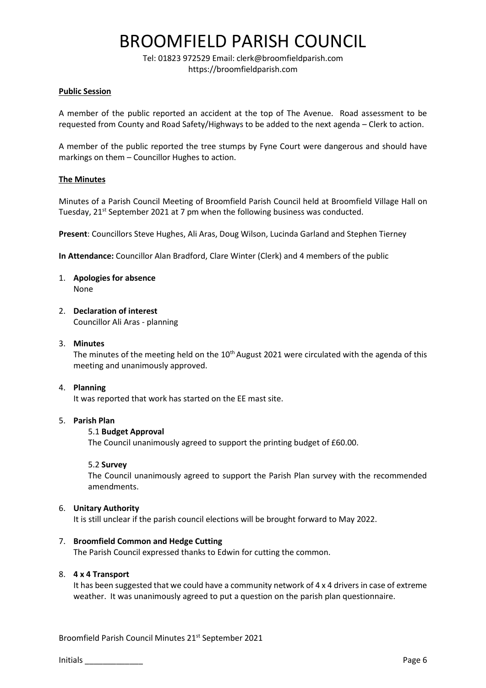## BROOMFIELD PARISH COUNCIL

Tel: 01823 972529 Email: clerk@broomfieldparish.com https://broomfieldparish.com

### **Public Session**

A member of the public reported an accident at the top of The Avenue. Road assessment to be requested from County and Road Safety/Highways to be added to the next agenda – Clerk to action.

A member of the public reported the tree stumps by Fyne Court were dangerous and should have markings on them – Councillor Hughes to action.

## **The Minutes**

Minutes of a Parish Council Meeting of Broomfield Parish Council held at Broomfield Village Hall on Tuesday, 21<sup>st</sup> September 2021 at 7 pm when the following business was conducted.

**Present**: Councillors Steve Hughes, Ali Aras, Doug Wilson, Lucinda Garland and Stephen Tierney

**In Attendance:** Councillor Alan Bradford, Clare Winter (Clerk) and 4 members of the public

- 1. **Apologies for absence** None
- 2. **Declaration of interest**

Councillor Ali Aras - planning

#### 3. **Minutes**

The minutes of the meeting held on the 10<sup>th</sup> August 2021 were circulated with the agenda of this meeting and unanimously approved.

#### 4. **Planning**

It was reported that work has started on the EE mast site.

#### 5. **Parish Plan**

#### 5.1 **Budget Approval**

The Council unanimously agreed to support the printing budget of £60.00.

#### 5.2 **Survey**

The Council unanimously agreed to support the Parish Plan survey with the recommended amendments.

#### 6. **Unitary Authority**

It is still unclear if the parish council elections will be brought forward to May 2022.

#### 7. **Broomfield Common and Hedge Cutting**

The Parish Council expressed thanks to Edwin for cutting the common.

#### 8. **4 x 4 Transport**

It has been suggested that we could have a community network of 4 x 4 drivers in case of extreme weather. It was unanimously agreed to put a question on the parish plan questionnaire.

Broomfield Parish Council Minutes 21st September 2021